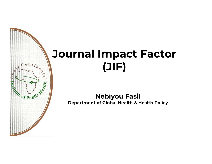## Journal Impact Factor (JIF)

 $\frac{\cos \left( \frac{\pi}{2} \right)}{\cos \left( \frac{\pi}{2} \right)}$ 

**COLLAND COLLAND** 

Nebiyou Fasil Department of Global Health & Health Policy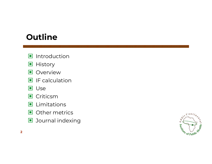## **Outline**

- $\blacksquare$  Introduction
- **History**
- **Overview**
- $\blacksquare$  IF calculation
- **D** Use
- **□** Criticsm
- $\blacksquare$  Limitations
- Other metrics
- **D** Journal indexing

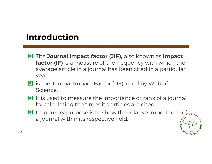## Introduction

- **E** The **Journal impact factor (JIF),** also known as **Impact factor (IF)** is a measure of the frequency with which the average article in a journal has been cited in a particular year.
- $\blacksquare$  is the Journal Impact Factor (JIF), used by Web of Science.
- $\blacksquare$  It is used to measure the importance or rank of a journal by calculating the times it's articles are cited.
- $\blacksquare$  Its primary purpose is to show the relative importance of  $\mathfrak{gl}_{\mathfrak{on} H_{\ell_{\alpha}}}$ a journal within its respective field.

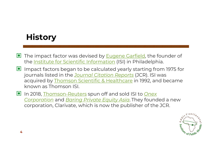## **History**

- The impact factor was devised by **Eugene Garfield**, the founder of the **Institute for Scientific Information** (ISI) in Philadelphia.
- Impact factors began to be calculated yearly starting from 1975 for journals listed in the *Journal Citation Reports* (JCR). ISI was The impact factor was devised by <u>Eugene Garfield</u>, the founder of<br>the <u>Institute for Scientific Information</u> (ISI) in Philadelphia.<br>Impact factors began to be calculated yearly starting from 1975 for<br>journals listed in th known as Thomson ISI. Impact factors began to be calculated yearly starting from 1975 for<br>journals listed in the <u>Journal Citation Reports</u> (JCR). ISI was<br>acquired by <u>Thomson Scientific & Healthcare</u> in 1992, and became<br>known as Thomson-Reuter
- In 2018, Thomson-Reuters spun off and sold ISI to Onex corporation, Clarivate, which is now the publisher of the JCR.

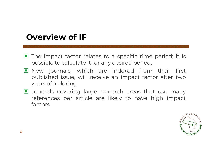## Overview of IF

- **Verview of IF**<br>The impact factor relates to a specific time period; it is<br>possible to calculate it for any desired period. ■ The impact factor relates to a specific time period; it is possible to calculate it for any desired period.<br>■ New journals, which are indexed from their first
- The impact factor relates to a specific time period; it is<br>possible to calculate it for any desired period.<br>New journals, which are indexed from their first<br>published issue, will receive an impact factor after two The impact factor relates to a specific time period; it is<br>possible to calculate it for any desired period.<br>New journals, which are indexed from their first<br>published issue, will receive an impact factor after two<br>years of The impact factor relates<br>possible to calculate it for a<br>New journals, which an<br>published issue, will recei<br>years of indexing<br>Journals covering large r possible to calculate it for any desired period.<br>New journals, which are indexed from their first<br>published issue, will receive an impact factor after two<br>years of indexing<br>Journals covering large research areas that use m New journals, which are indexed from their first<br>published issue, will receive an impact factor after two<br>years.of.indexing<br>Journals covering large research areas that use many<br>references per article are likely to have hig
- factors.

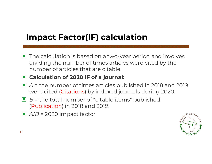## Impact Factor(IF) calculation

 $\blacksquare$  The calculation is based on a two-year period and involves dividing the number of times articles were cited by the number of articles that are citable.

### **■ Calculation of 2020 IF of a journal:**

- A = the number of times articles published in 2018 and 2019 dividing the number of times articles were cited by the<br>number of articles that are citable.<br>**Calculation of 2020 IF of a journal:**<br>A = the number of times articles published in 2018 and 20<br>were cited (Citations) by indexe
- $\blacksquare$  B = the total number of "citable items" published (Publication) in 2018 and 2019.
- $\Box$  A/B = 2020 impact factor

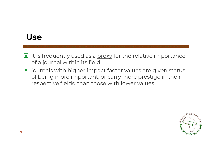## Use

- $\blacksquare$  it is frequently used as a  $\text{prox}_X$  for the relative importance of a journal within its field;
- $\blacksquare$  journals with higher impact factor values are given status of being more important, or carry more prestige in their respective fields, than those with lower values

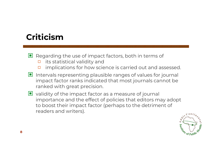## Criticism

- $\Box$  Regarding the use of impact factors, both in terms of
	- $\Box$  its statistical validity and
	- $\Box$  implications for how science is carried out and assessed.
- $\blacksquare$  Intervals representing plausible ranges of values for journal impact factor ranks indicated that most journals cannot be ranked with great precision.
- $\Box$  validity of the impact factor as a measure of journal importance and the effect of policies that editors may adopt to boost their impact factor (perhaps to the detriment of readers and writers).

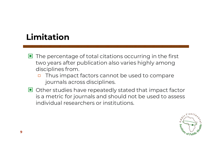## Limitation

- $\blacksquare$  The percentage of total citations occurring in the first two years after publication also varies highly among disciplines from.
	- □ Thus impact factors cannot be used to compare journals across disciplines.
- $\blacksquare$  Other studies have repeatedly stated that impact factor is a metric for journals and should not be used to assess individual researchers or institutions.

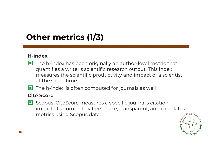## Other metrics (1/3)

### H-index

- $\blacksquare$  The h-index has been originally an author-level metric that quantifies a writer's scientific research output. This index measures the scientific productivity and impact of a scientist at the same time.
- $\blacksquare$  The h-index is often computed for journals as well

### Cite Score

Maximized Which decisions is established in expansion in the masures the scientific productivity and impact of a scientis<br>at the same time.<br>The h-index is often computed for journals as well<br>**Scopus'** CiteScore measures a impact. It's completely free to use, transparent, and calculates metrics using Scopus data.

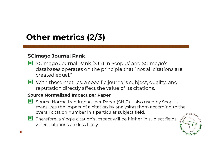# **Other metrics (2/3)**<br>SCImago Journal Rank<br>■ SCImago Journal Rank (SJR) in Other metrics (2/3)

- **SCImago Journal Rank**<br> **E** SCImago Journal Rank (SJR) in Scopus' and SCImago's databases operates on the principle that "not all citations are created equal."
- With these metrics, a specific journal's subject, quality, and reputation directly affect the value of its citations.

### Source Normalized Impact per Paper

- databases operates on the principle that "not all citations are<br>created equal."<br>With these metrics, a specific journal's subject, quality, and<br>reputation directly affect the value of its citations.<br>**The Normalized Impact p** With these metrics, a specific journal's subject, quality, and<br>reputation directly affect the value of its citations.<br>**rce Normalized Impact per Paper**<br>Source Normalized Impact per Paper (SNIP) – also used by Scopus –<br>meas overall citation number in a particular subject field.
- $\Box$  Therefore, a single citation's impact will be higher in subject fields where citations are less likely.

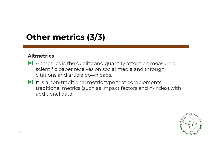## Other metrics (3/3)

### Altmetrics

- **her metrics (3/3)**<br> **Mernicanally and quantity attention measure a**<br>
scientific paper receives on social media and through citations and article downloads.
- $\blacksquare$  It is a non-traditional metric type that complements traditional metrics (such as impact factors and h-index) with additional data.

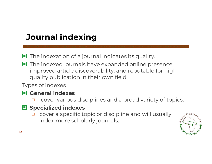## Journal indexing

- The indexation of a journal indicates its quality.  $\Box$
- $\blacksquare$  The indexed journals have expanded online presence, improved article discoverability, and reputable for highquality publication in their own field.

Types of indexes

### General indexes

□ cover various disciplines and a broad variety of topics.

### Specialized indexes

□ cover a specific topic or discipline and will usually index more scholarly journals.

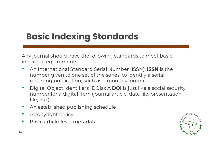## Basic Indexing Standards

Any journal should have the following standards to meet basic indexing requirements:

- An International Standard Serial Number (ISSN): **ISSN** is the number given to one set of the series, to identify a serial, recurring publication, such as a monthly journal.
- Digital Object Identifiers (DOIs): A **DOI** is just like a social security number for a digital item (journal article, data file, presentation file, etc.)
- An established publishing schedule
- A copyright policy
- Basic article-level metadata

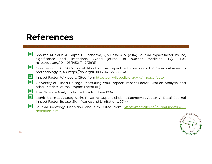## References

- **: ferences**<br>Sharma, M., Sarin, A., Gupta, P., Sachdeva, S., & Desai, A. V. (2014). Journal impact factor: its use,<br>significance and limitations. World journal of nuclear medicine, 13(2), 146.<br>https://doi.org/10.4103/1450-**: ferences**<br>Sharma, M., Sarin, A., Gupta, P., Sachdeva, S., & Desai, A. V. (2014). Journal impact factor: its use,<br>significance and limitations. World journal of nuclear medicine, 13(2), 146.<br>Greenwood D. C. (2007). Pelia https://doi.org/10.4103/1450-1147.139151 Sharma, M., Sarin, A., Gupta, P., Sachdeva, S., & Desai, A. V. (2014). Journal is<br>gnificance and limitations. World journal of nuclear me<br>https://doi.org/10.4103/1450-1147.139151<br>Greenwood D. C. (2007). Reliability of jour Sharma, M., Sarin, A., Gupta, P., Sachdeva, S., & Desai, A. V. (2014). Journal impact factor: its usignificance and limitations. World journal of nuclear medicine, 13(2), 1<br>https://doi.org/10.4103/1450-1147.139151<br>Greenwoo Sharma, M., Sarin, A., Gupta, P., Sachdeva, S., & Desai, A. V. (2014). Journal impact factor: its use,<br>significance and limitations. World journal of nuclear medicine, 13(2), 146.<br>https://doi.org/10.4103/1450-1147.139151<br>G Sharma, M., Sarin, A., Gupta, P., Sachdeva, S., & Desai, A. V. (2014).<br>significance and limitations. World journal of nucl<br>https://doi.org/10.4103/1450-1147.139151<br>Greenwood D. C. (2007). Reliability of journal impact fact
- significance and limitations. World journal of nuclear medicine, 13(2), 146.<br>https://doi.org/10.4103/1450-1147.139151<br>Greenwood D. C. (2007). Reliability of journal impact factor rankings. BMC medical research<br>methodology, Symmetrics and "infractorist" vorial gournal of Tractear<br>https://doi.org/10.4103/1450-1147.139151<br>Greenwood D. C. (2007). Reliability of journal impact factor rankings.<br>methodology, 7, 48. https://doi.org/10.1186/1471-2288 Greenwood D. C. (2007). Reliability of journal impact factor rankings. BMC medical research<br>methodology, 7, 48. https://doi.org/10.1186/1471-2288-7-48<br>Impact Factor. Wikipedia. Cited from <u>https://en.wikipedia.org/wiki/Imp</u>
- L.
- 
- 
- Sieermood D. C. (2007): Remainity of Journal mapped racer furnings. Brie international methodology, 7, 48. https://doi.org/10.1186/1471-2288-7-48<br>Impact Factor. Wikipedia. Cited from https://en.wikipedia.org/wiki/Impact\_fa Impact Factor. Wikipedia. Cited from <u>https://en.wikipedia.org/wiki/Impact\_factor</u><br>University of Illinois Chicago. Measuring Your Impact: Impact Factor, Citation Analysis, and<br>other Metrics: Journal Impact Factor (IF).<br>The I I
- Journal indexing: Definition and aim. Cited from https://ntelt.cikd.ca/journal-indexing-1-<br>definition-aim